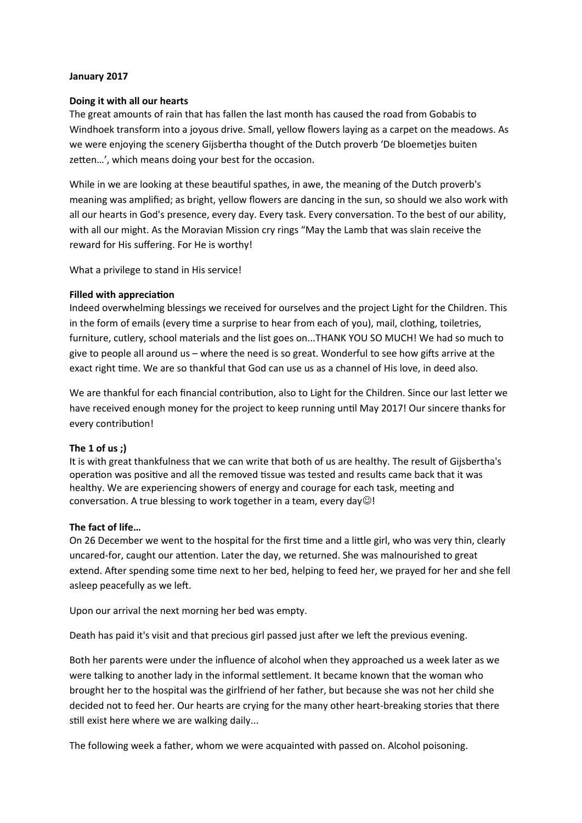## **January 2017**

### **Doing it with all our hearts**

The great amounts of rain that has fallen the last month has caused the road from Gobabis to Windhoek transform into a joyous drive. Small, yellow flowers laying as a carpet on the meadows. As we were enjoying the scenery Gijsbertha thought of the Dutch proverb 'De bloemetjes buiten zetten…', which means doing your best for the occasion.

While in we are looking at these beautiful spathes, in awe, the meaning of the Dutch proverb's meaning was amplified; as bright, yellow flowers are dancing in the sun, so should we also work with all our hearts in God's presence, every day. Every task. Every conversation. To the best of our ability, with all our might. As the Moravian Mission cry rings "May the Lamb that was slain receive the reward for His suffering. For He is worthy!

What a privilege to stand in His service!

### **Filled with appreciaton**

Indeed overwhelming blessings we received for ourselves and the project Light for the Children. This in the form of emails (every tme a surprise to hear from each of you), mail, clothing, toiletries, furniture, cutlery, school materials and the list goes on...THANK YOU SO MUCH! We had so much to give to people all around us – where the need is so great. Wonderful to see how gifs arrive at the exact right tme. We are so thankful that God can use us as a channel of His love, in deed also.

We are thankful for each financial contribution, also to Light for the Children. Since our last letter we have received enough money for the project to keep running until May 2017! Our sincere thanks for every contribution!

## **The 1 of us ;)**

It is with great thankfulness that we can write that both of us are healthy. The result of Gijsbertha's operation was positive and all the removed tissue was tested and results came back that it was healthy. We are experiencing showers of energy and courage for each task, meetng and conversation. A true blessing to work together in a team, every day $\odot$ !

## **The fact of life…**

On 26 December we went to the hospital for the first time and a little girl, who was very thin, clearly uncared-for, caught our attenton. Later the day, we returned. She was malnourished to great extend. After spending some time next to her bed, helping to feed her, we prayed for her and she fell asleep peacefully as we left.

Upon our arrival the next morning her bed was empty.

Death has paid it's visit and that precious girl passed just after we left the previous evening.

Both her parents were under the infuence of alcohol when they approached us a week later as we were talking to another lady in the informal settlement. It became known that the woman who brought her to the hospital was the girlfriend of her father, but because she was not her child she decided not to feed her. Our hearts are crying for the many other heart-breaking stories that there still exist here where we are walking daily...

The following week a father, whom we were acquainted with passed on. Alcohol poisoning.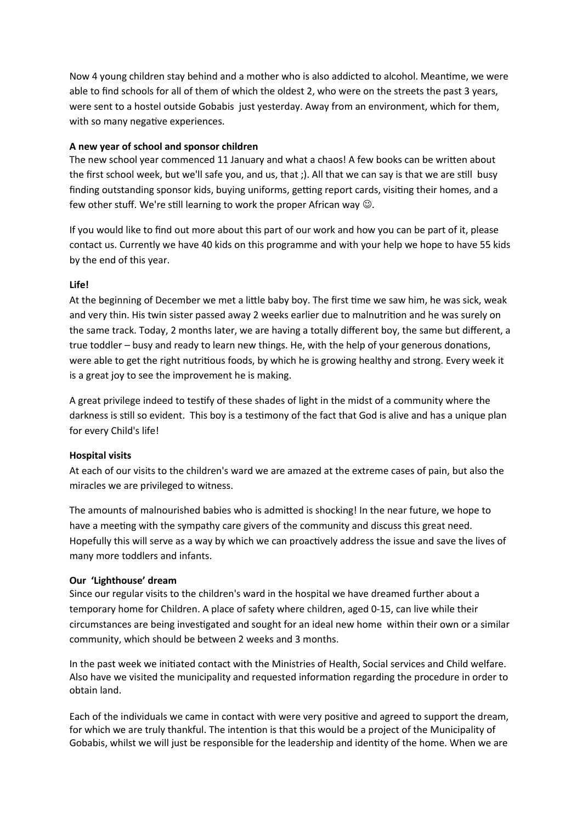Now 4 young children stay behind and a mother who is also addicted to alcohol. Meantme, we were able to find schools for all of them of which the oldest 2, who were on the streets the past 3 years, were sent to a hostel outside Gobabis just yesterday. Away from an environment, which for them, with so many negative experiences.

# **A new year of school and sponsor children**

The new school year commenced 11 January and what a chaos! A few books can be written about the first school week, but we'll safe you, and us, that ;). All that we can say is that we are still busy finding outstanding sponsor kids, buying uniforms, getting report cards, visiting their homes, and a few other stuff. We're still learning to work the proper African way  $\odot$ .

If you would like to fnd out more about this part of our work and how you can be part of it, please contact us. Currently we have 40 kids on this programme and with your help we hope to have 55 kids by the end of this year.

# **Life!**

At the beginning of December we met a little baby boy. The frst tme we saw him, he was sick, weak and very thin. His twin sister passed away 2 weeks earlier due to malnutrition and he was surely on the same track. Today, 2 months later, we are having a totally different boy, the same but different, a true toddler – busy and ready to learn new things. He, with the help of your generous donatons, were able to get the right nutritous foods, by which he is growing healthy and strong. Every week it is a great joy to see the improvement he is making.

A great privilege indeed to testfy of these shades of light in the midst of a community where the darkness is stll so evident. This boy is a testmony of the fact that God is alive and has a unique plan for every Child's life!

# **Hospital visits**

At each of our visits to the children's ward we are amazed at the extreme cases of pain, but also the miracles we are privileged to witness.

The amounts of malnourished babies who is admitted is shocking! In the near future, we hope to have a meeting with the sympathy care givers of the community and discuss this great need. Hopefully this will serve as a way by which we can proactively address the issue and save the lives of many more toddlers and infants.

# **Our 'Lighthouse' dream**

Since our regular visits to the children's ward in the hospital we have dreamed further about a temporary home for Children. A place of safety where children, aged 0-15, can live while their circumstances are being investgated and sought for an ideal new home within their own or a similar community, which should be between 2 weeks and 3 months.

In the past week we initated contact with the Ministries of Health, Social services and Child welfare. Also have we visited the municipality and requested informaton regarding the procedure in order to obtain land.

Each of the individuals we came in contact with were very positve and agreed to support the dream, for which we are truly thankful. The intention is that this would be a project of the Municipality of Gobabis, whilst we will just be responsible for the leadership and identty of the home. When we are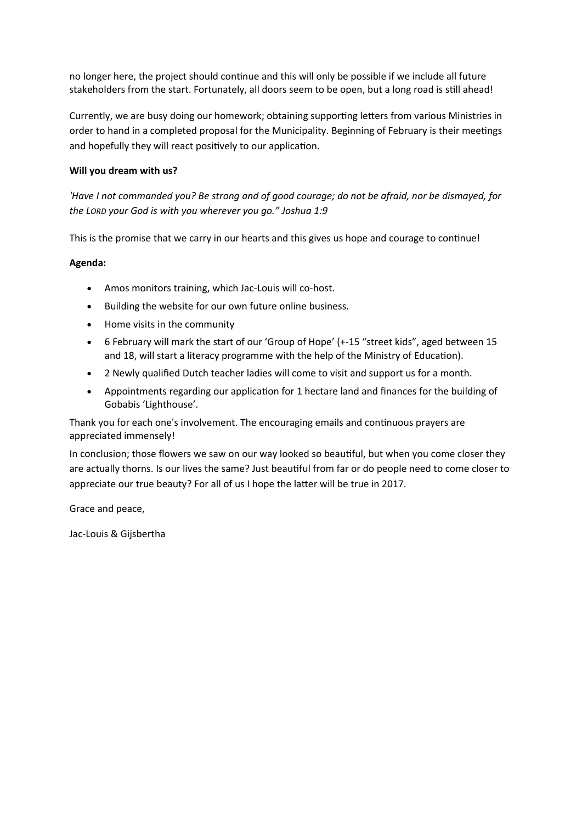no longer here, the project should contnue and this will only be possible if we include all future stakeholders from the start. Fortunately, all doors seem to be open, but a long road is still ahead!

Currently, we are busy doing our homework; obtaining supporting letters from various Ministries in order to hand in a completed proposal for the Municipality. Beginning of ebruary is their meetngs and hopefully they will react positively to our application.

# **Will you dream with us?**

*'Have I not commanded you? Be strong and of good courage; do not be afraid, nor be dismayed, for the LORD your God is with you wherever you go." Joshua 1:9*

This is the promise that we carry in our hearts and this gives us hope and courage to contnue!

# **Agenda:**

- Amos monitors training, which Jac-Louis will co-host.
- Building the website for our own future online business.
- Home visits in the community
- 6 ebruary will mark the start of our 'Group of Hope' (+-15 "street kids", aged between 15 and 18, will start a literacy programme with the help of the Ministry of Educaton).
- 2 Newly qualified Dutch teacher ladies will come to visit and support us for a month.
- Appointments regarding our applicaton for 1 hectare land and fnances for the building of Gobabis 'Lighthouse'.

Thank you for each one's involvement. The encouraging emails and contnuous prayers are appreciated immensely!

In conclusion; those flowers we saw on our way looked so beautiful, but when you come closer they are actually thorns. Is our lives the same? Just beautful from far or do people need to come closer to appreciate our true beauty? For all of us I hope the latter will be true in 2017.

Grace and peace,

Jac-Louis & Gijsbertha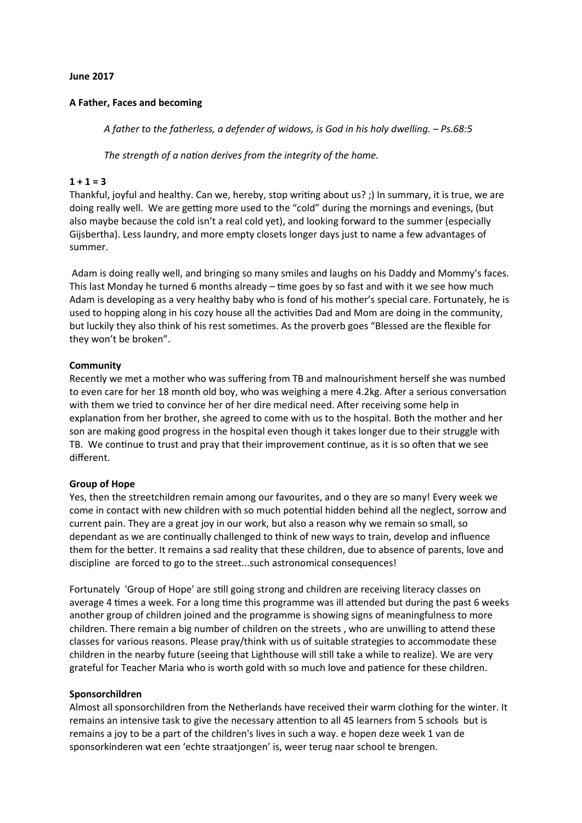## **June 2017**

## **A Father, Faces and becoming**

*A father to the fatherless, a defender of widows, is God in his holy dwelling. – Ps.68:5*

*The strength of a naton derives from the integrity of the home.* 

### $1 + 1 = 3$

Thankful, joyful and healthy. Can we, hereby, stop writing about us? ;) In summary, it is true, we are doing really well. We are getting more used to the "cold" during the mornings and evenings, (but also maybe because the cold isn't a real cold yet), and looking forward to the summer (especially Gijsbertha). Less laundry, and more empty closets longer days just to name a few advantages of summer.

Adam is doing really well, and bringing so many smiles and laughs on his Daddy and Mommy's faces. This last Monday he turned 6 months already – tme goes by so fast and with it we see how much Adam is developing as a very healthy baby who is fond of his mother's special care. Fortunately, he is used to hopping along in his cozy house all the activities Dad and Mom are doing in the community, but luckily they also think of his rest sometmes. As the proverb goes "Blessed are the fexible for they won't be broken".

### **Community**

Recently we met a mother who was sufering from TB and malnourishment herself she was numbed to even care for her 18 month old boy, who was weighing a mere 4.2kg. After a serious conversation with them we tried to convince her of her dire medical need. Afer receiving some help in explanation from her brother, she agreed to come with us to the hospital. Both the mother and her son are making good progress in the hospital even though it takes longer due to their struggle with TB. We contnue to trust and pray that their improvement contnue, as it is so ofen that we see diferent.

#### **Group of Hope**

Yes, then the streetchildren remain among our favourites, and o they are so many! Every week we come in contact with new children with so much potental hidden behind all the neglect, sorrow and current pain. They are a great joy in our work, but also a reason why we remain so small, so dependant as we are contnually challenged to think of new ways to train, develop and infuence them for the better. It remains a sad reality that these children, due to absence of parents, love and discipline are forced to go to the street...such astronomical consequences!

Fortunately 'Group of Hope' are still going strong and children are receiving literacy classes on average 4 times a week. For a long time this programme was ill attended but during the past 6 weeks another group of children joined and the programme is showing signs of meaningfulness to more children. There remain a big number of children on the streets , who are unwilling to attend these classes for various reasons. Please pray/think with us of suitable strategies to accommodate these children in the nearby future (seeing that Lighthouse will still take a while to realize). We are very grateful for Teacher Maria who is worth gold with so much love and patence for these children.

#### **Sponsorchildren**

Almost all sponsorchildren from the Netherlands have received their warm clothing for the winter. It remains an intensive task to give the necessary attenton to all 45 learners from 5 schools but is remains a joy to be a part of the children's lives in such a way. e hopen deze week 1 van de sponsorkinderen wat een 'echte straatjongen' is, weer terug naar school te brengen.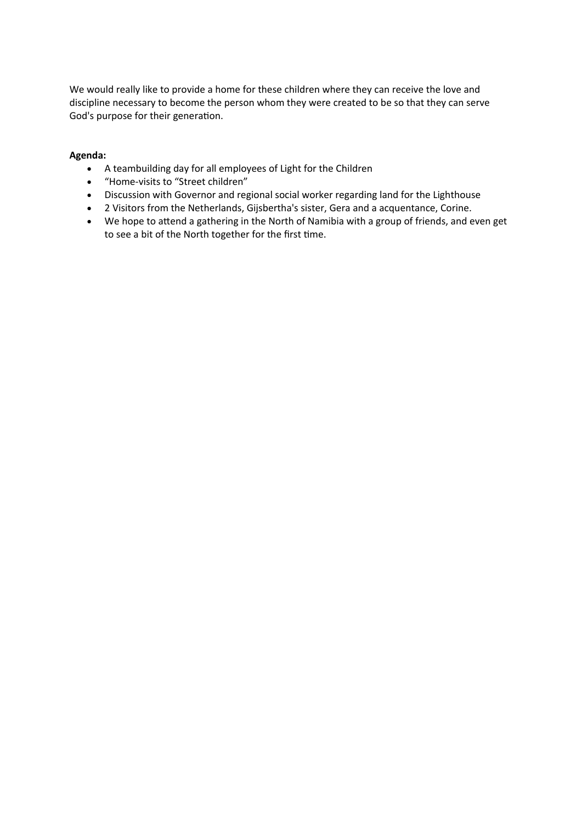We would really like to provide a home for these children where they can receive the love and discipline necessary to become the person whom they were created to be so that they can serve God's purpose for their generation.

## **Agenda:**

- A teambuilding day for all employees of Light for the Children
- "Home-visits to "Street children"
- Discussion with Governor and regional social worker regarding land for the Lighthouse
- 2 Visitors from the Netherlands, Gijsbertha's sister, Gera and a acquentance, Corine.
- We hope to attend a gathering in the North of Namibia with a group of friends, and even get to see a bit of the North together for the first time.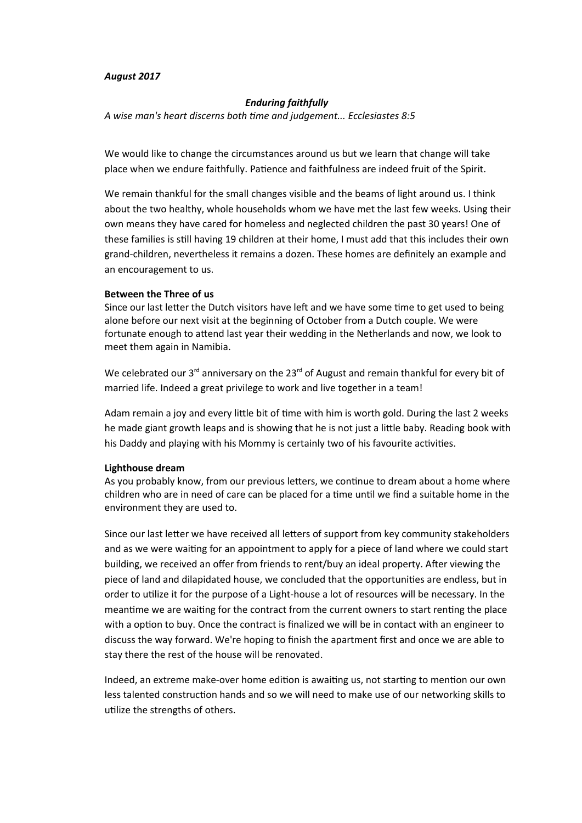#### *August 2017*

#### *Enduring faithfully*

*A wise man's heart discerns both tme and judgement... Ecclesiastes 8:5*

We would like to change the circumstances around us but we learn that change will take place when we endure faithfully. Patence and faithfulness are indeed fruit of the Spirit.

We remain thankful for the small changes visible and the beams of light around us. I think about the two healthy, whole households whom we have met the last few weeks. Using their own means they have cared for homeless and neglected children the past 30 years! One of these families is stll having 19 children at their home, I must add that this includes their own grand-children, nevertheless it remains a dozen. These homes are defnitely an example and an encouragement to us.

#### **Between the Three of us**

Since our last letter the Dutch visitors have left and we have some time to get used to being alone before our next visit at the beginning of October from a Dutch couple. We were fortunate enough to attend last year their wedding in the Netherlands and now, we look to meet them again in Namibia.

We celebrated our  $3<sup>rd</sup>$  anniversary on the 23 $<sup>rd</sup>$  of August and remain thankful for every bit of</sup> married life. Indeed a great privilege to work and live together in a team!

Adam remain a joy and every little bit of time with him is worth gold. During the last 2 weeks he made giant growth leaps and is showing that he is not just a little baby. Reading book with his Daddy and playing with his Mommy is certainly two of his favourite activities.

#### **Lighthouse dream**

As you probably know, from our previous letters, we contnue to dream about a home where children who are in need of care can be placed for a tme untl we fnd a suitable home in the environment they are used to.

Since our last letter we have received all letters of support from key community stakeholders and as we were waitng for an appointment to apply for a piece of land where we could start building, we received an offer from friends to rent/buy an ideal property. After viewing the piece of land and dilapidated house, we concluded that the opportunites are endless, but in order to utlize it for the purpose of a Light-house a lot of resources will be necessary. In the meantime we are waiting for the contract from the current owners to start renting the place with a option to buy. Once the contract is finalized we will be in contact with an engineer to discuss the way forward. We're hoping to fnish the apartment frst and once we are able to stay there the rest of the house will be renovated.

Indeed, an extreme make-over home editon is awaitng us, not startng to menton our own less talented construction hands and so we will need to make use of our networking skills to utilize the strengths of others.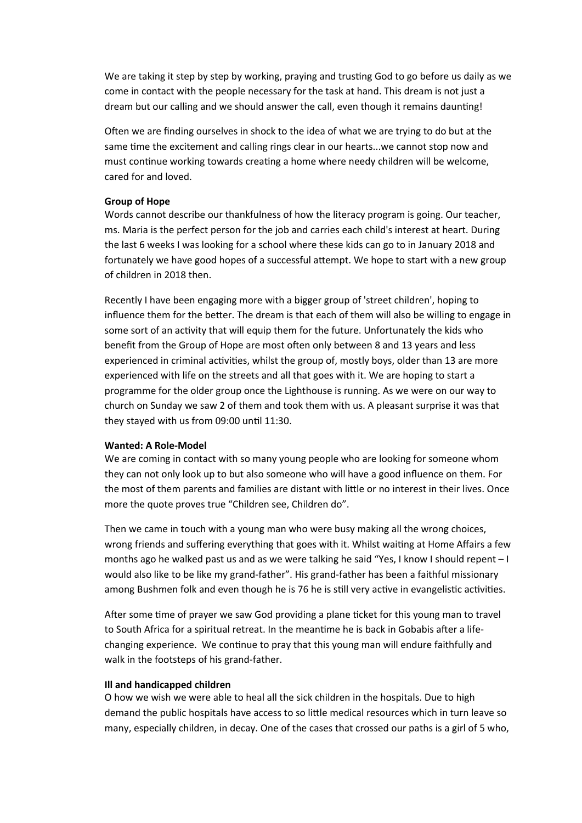We are taking it step by step by working, praying and trustng God to go before us daily as we come in contact with the people necessary for the task at hand. This dream is not just a dream but our calling and we should answer the call, even though it remains dauntng!

Often we are finding ourselves in shock to the idea of what we are trying to do but at the same time the excitement and calling rings clear in our hearts...we cannot stop now and must continue working towards creating a home where needy children will be welcome, cared for and loved.

#### **Group of Hope**

Words cannot describe our thankfulness of how the literacy program is going. Our teacher, ms. Maria is the perfect person for the job and carries each child's interest at heart. During the last 6 weeks I was looking for a school where these kids can go to in January 2018 and fortunately we have good hopes of a successful attempt. We hope to start with a new group of children in 2018 then.

Recently I have been engaging more with a bigger group of 'street children', hoping to infuence them for the better. The dream is that each of them will also be willing to engage in some sort of an activity that will equip them for the future. Unfortunately the kids who beneft from the Group of Hope are most ofen only between 8 and 13 years and less experienced in criminal activities, whilst the group of, mostly boys, older than 13 are more experienced with life on the streets and all that goes with it. We are hoping to start a programme for the older group once the Lighthouse is running. As we were on our way to church on Sunday we saw 2 of them and took them with us. A pleasant surprise it was that they stayed with us from 09:00 until 11:30.

### **Wanted: A Role-Model**

We are coming in contact with so many young people who are looking for someone whom they can not only look up to but also someone who will have a good influence on them. For the most of them parents and families are distant with little or no interest in their lives. Once more the quote proves true "Children see, Children do".

Then we came in touch with a young man who were busy making all the wrong choices, wrong friends and sufering everything that goes with it. Whilst waitng at Home Afairs a few months ago he walked past us and as we were talking he said "Yes, I know I should repent – I would also like to be like my grand-father". His grand-father has been a faithful missionary among Bushmen folk and even though he is 76 he is still very active in evangelistic activities.

After some time of prayer we saw God providing a plane ticket for this young man to travel to South Africa for a spiritual retreat. In the meantime he is back in Gobabis after a lifechanging experience. We contnue to pray that this young man will endure faithfully and walk in the footsteps of his grand-father.

#### **Ill and handicapped children**

O how we wish we were able to heal all the sick children in the hospitals. Due to high demand the public hospitals have access to so little medical resources which in turn leave so many, especially children, in decay. One of the cases that crossed our paths is a girl of 5 who,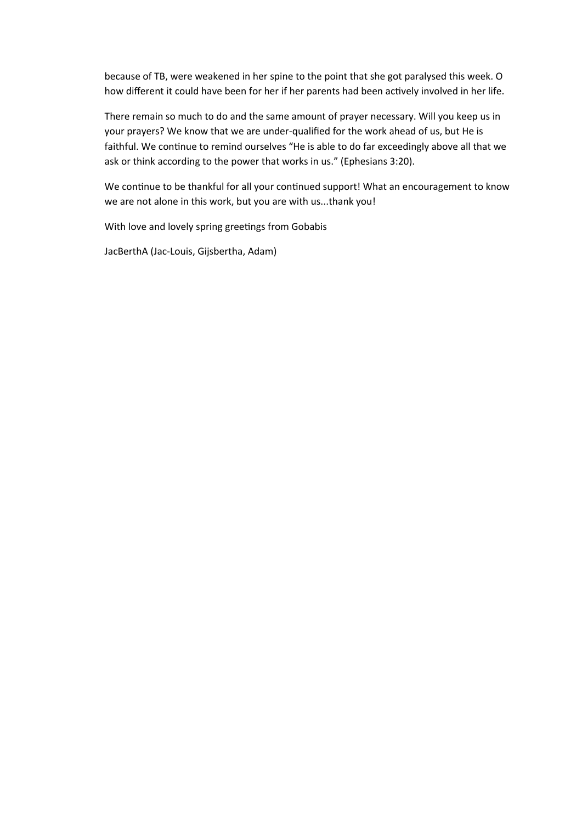because of TB, were weakened in her spine to the point that she got paralysed this week. O how different it could have been for her if her parents had been actively involved in her life.

There remain so much to do and the same amount of prayer necessary. Will you keep us in your prayers? We know that we are under-qualifed for the work ahead of us, but He is faithful. We continue to remind ourselves "He is able to do far exceedingly above all that we ask or think according to the power that works in us." (Ephesians 3:20).

We continue to be thankful for all your continued support! What an encouragement to know we are not alone in this work, but you are with us...thank you!

With love and lovely spring greetings from Gobabis

JacBerthA (Jac-Louis, Gijsbertha, Adam)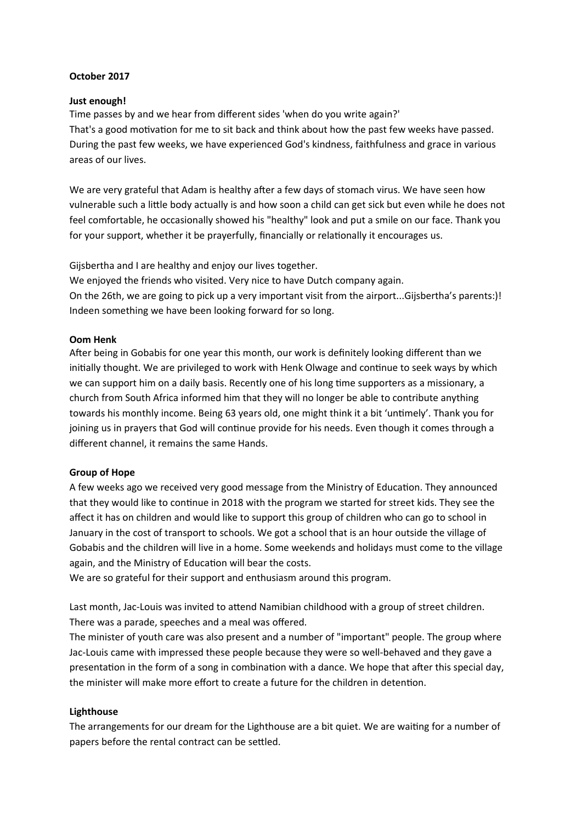## **October 2017**

## **Just enough!**

Time passes by and we hear from diferent sides 'when do you write again?' That's a good motivation for me to sit back and think about how the past few weeks have passed. During the past few weeks, we have experienced God's kindness, faithfulness and grace in various areas of our lives.

We are very grateful that Adam is healthy after a few days of stomach virus. We have seen how vulnerable such a little body actually is and how soon a child can get sick but even while he does not feel comfortable, he occasionally showed his "healthy" look and put a smile on our face. Thank you for your support, whether it be prayerfully, fnancially or relatonally it encourages us.

Gijsbertha and I are healthy and enjoy our lives together.

We enjoyed the friends who visited. Very nice to have Dutch company again. On the 26th, we are going to pick up a very important visit from the airport...Gijsbertha's parents:)! Indeen something we have been looking forward for so long.

# **Oom Henk**

Afer being in Gobabis for one year this month, our work is defnitely looking diferent than we initially thought. We are privileged to work with Henk Olwage and continue to seek ways by which we can support him on a daily basis. Recently one of his long tme supporters as a missionary, a church from South Africa informed him that they will no longer be able to contribute anything towards his monthly income. Being 63 years old, one might think it a bit 'untmely'. Thank you for joining us in prayers that God will continue provide for his needs. Even though it comes through a diferent channel, it remains the same Hands.

# **Group of Hope**

A few weeks ago we received very good message from the Ministry of Educaton. They announced that they would like to continue in 2018 with the program we started for street kids. They see the afect it has on children and would like to support this group of children who can go to school in January in the cost of transport to schools. We got a school that is an hour outside the village of Gobabis and the children will live in a home. Some weekends and holidays must come to the village again, and the Ministry of Educaton will bear the costs.

We are so grateful for their support and enthusiasm around this program.

Last month, Jac-Louis was invited to attend Namibian childhood with a group of street children. There was a parade, speeches and a meal was ofered.

The minister of youth care was also present and a number of "important" people. The group where Jac-Louis came with impressed these people because they were so well-behaved and they gave a presentation in the form of a song in combination with a dance. We hope that after this special day, the minister will make more efort to create a future for the children in detenton.

# **Lighthouse**

The arrangements for our dream for the Lighthouse are a bit quiet. We are waitng for a number of papers before the rental contract can be settled.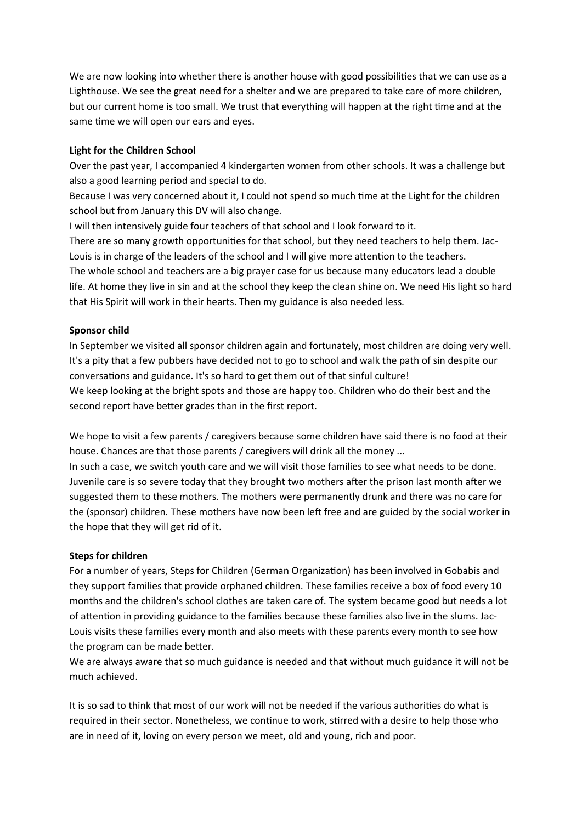We are now looking into whether there is another house with good possibilities that we can use as a Lighthouse. We see the great need for a shelter and we are prepared to take care of more children, but our current home is too small. We trust that everything will happen at the right tme and at the same time we will open our ears and eyes.

# **Light for the Children School**

Over the past year, I accompanied 4 kindergarten women from other schools. It was a challenge but also a good learning period and special to do.

Because I was very concerned about it, I could not spend so much time at the Light for the children school but from January this DV will also change.

I will then intensively guide four teachers of that school and I look forward to it.

There are so many growth opportunities for that school, but they need teachers to help them. Jac-Louis is in charge of the leaders of the school and I will give more attenton to the teachers. The whole school and teachers are a big prayer case for us because many educators lead a double life. At home they live in sin and at the school they keep the clean shine on. We need His light so hard that His Spirit will work in their hearts. Then my guidance is also needed less.

# **Sponsor child**

In September we visited all sponsor children again and fortunately, most children are doing very well. It's a pity that a few pubbers have decided not to go to school and walk the path of sin despite our conversations and guidance. It's so hard to get them out of that sinful culture! We keep looking at the bright spots and those are happy too. Children who do their best and the second report have better grades than in the first report.

We hope to visit a few parents / caregivers because some children have said there is no food at their house. Chances are that those parents / caregivers will drink all the money ...

In such a case, we switch youth care and we will visit those families to see what needs to be done. Juvenile care is so severe today that they brought two mothers afer the prison last month afer we suggested them to these mothers. The mothers were permanently drunk and there was no care for the (sponsor) children. These mothers have now been left free and are guided by the social worker in the hope that they will get rid of it.

# **Steps for children**

For a number of years, Steps for Children (German Organization) has been involved in Gobabis and they support families that provide orphaned children. These families receive a box of food every 10 months and the children's school clothes are taken care of. The system became good but needs a lot of attenton in providing guidance to the families because these families also live in the slums. Jac-Louis visits these families every month and also meets with these parents every month to see how the program can be made better.

We are always aware that so much guidance is needed and that without much guidance it will not be much achieved.

It is so sad to think that most of our work will not be needed if the various authorites do what is required in their sector. Nonetheless, we contnue to work, strred with a desire to help those who are in need of it, loving on every person we meet, old and young, rich and poor.